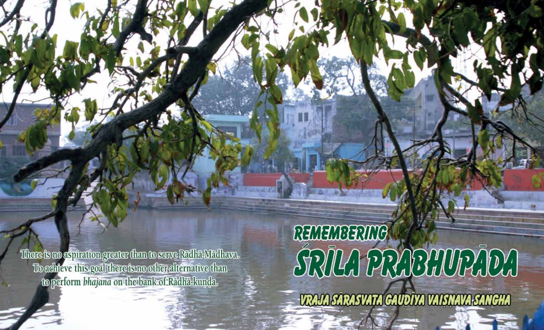There is no aspiration greater than to serve Radha-Madhava. To adhieve this goal there is no other alternative than to perform bhajana on the bank of Radha-kunda.

# REMEMBERING SRIKI PRIBUDPIDA

VRAJA SARASVATA GAUDĪVA VAISNAVA SANGHA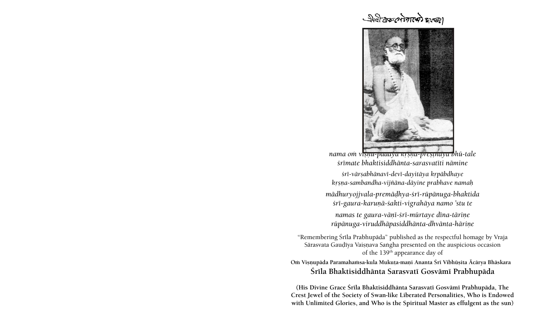# पीर्वाटक लोगाफी बाल्ड।



*nama oà viñëu-pädäya kåñëa-preñöhäya bhü-tale çrémate bhaktisiddhänta-sarasvatéti nämine* 

*çré-värñabhänavé-devé-dayitäya kåpäbdhaye kåñëa-sambandha-vijïäna-däyine prabhave namaù*

*mädhuryojjvala-premäòhya-çré-rüpänuga-bhaktida çré-gaura-karuëä-çakti-vigrahäya namo 'stu te* 

namas te gaura-vāņī-*śrī-mūrtaye dīna-tārine rüpänuga-viruddhäpasiddhänta-dhvänta-häriëe*

"Remembering Śrīla Prabhupāda" published as the respectful homage by Vraja Sārasvata Gaudīya Vaiṣṇava Saṅgha presented on the auspicious occasion of the 139th appearance day of

Om Viṣṇupāda Paramahaṁsa-kula Mukuṭa-maṇi Ananta Śrī Vibhūṣita Ācārya Bhāskara **Çréla Bhaktisiddhänta Sarasvaté Gosvämé Prabhupäda**

**(His Divine Grace Çréla Bhaktisiddhänta Sarasvaté Gosvämé Prabhupäda, The Crest Jewel of the Society of Swan-like Liberated Personalities, Who is Endowed with Unlimited Glories, and Who is the Spiritual Master as effulgent as the sun)**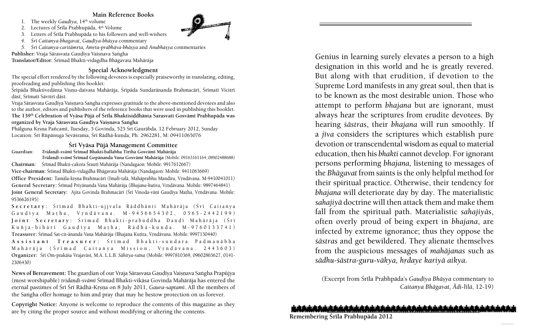#### **Main Reference Books**

1. The weekly *Gaudīva*, 14<sup>th</sup> volume

2. Lectures of Śrīla Prabhupāda,  $4<sup>th</sup>$  Volume

3. Letters of Śrīla Prabhupāda to his followers and well-wishers

*4. Çré Caitanya-bhagavat*, *Gauòéya-bhäñya* commentary

5. *Śrī Caitanya-caritāmrta, Amrta-prabhāva-bhāsya* and *Anubhāsya* commentaries

Publisher: Vraja Sārasvata Gaudīya Vaisnava Sangha

**Translator/Editor:** Çrémad Bhakti-vidagdha Bhägavata Mahäräja

## **Special Acknowledgment**

The special effort rendered by the following devotees is especially praiseworthy in translating, editing, proofreading and publishing this booklet:

Srīpāda Bhaktivedānta Visnu-daivata Mahārāja, Śrīpāda Sundarānanda Brahmacārī, Śrīmatī Vicitrī dāsī, Śrīmatī Sāvitrī dāsī.

Vraja Sārasvata Gaudīya Vaiṣṇava Saṅgha expresses gratitude to the above-mentioned devotees and also to the author, editors and publishers of the reference books that were used in publishing this booklet. The 139<sup>th</sup> Celebration of Vyāsa Pūjā of Śrīla Bhaktisiddhānta Sarasvatī Gosvāmī Prabhupāda was organized by Vraja Sārasvata Gaudīya Vaisnava Sangha

Phālguna Krsna Pañcamī, Tuesday, 5 Govinda, 525 Śrī Gaurābda, 12 February 2012, Sunday Location: Śrī Rūpānuga Sevāśrama, Śrī Rādhā-kunda, Ph: 2962281, M: 09411065076

#### **Çré Vyäsa Püjä Management Committee**

Guardian: *Tridandi-svāmī* Śrīmad Bhakti-ballabha Tīrtha Gosvāmī Mahārāja

*Tridaëòi-svämé* **Çrémad Gopänanda Vana Gosvämé Mahäräja** (Mobile: 09163161164, 08902488688)

**Chairman:** Śrīmad Bhakti-cakora Śrautī Mahārāja (Nandagaon: Mobile: 9917612667)

**Vice-chairman:** Çrémad Bhakti-vidagdha Bhägavata Mahäräja (Nandagaon: Mobile: 9411063669)

Office President: Tamāla-krsna Brahmacārī (Imalī-talā, Mahāprabhu Mandira, Vrndāvana. M-9410041011) General Secretary: Śrīmad Priyānanda Vana Mahārāja (Bhajana-kutīra, Vṛndāvana. Mobile: 9897464841) Joint General Secretary: Ajita Govinda Brahmacārī (Śrī Vinoda-vāņī Gaudīya Maṭha, Vṛndāvana. Mobile: 9536626195)

Secretary: Śrīmad Bhakti-ujivala Rāddhānti Mahārāja (Śrī Caitanya Gaudīya Matha, Vrndāvana. M-9456654302, 0565-2442199) Joint Secretary: Śrīmad Bhakti-prabuddha Dandī Mahārāja (Śrī Kuñja-bihārī Gauḍīya Maṭha, Rādhā-kuṇḍa. M-9760133741) Treasurer: Śrīmad Sat-cit-ānanda Vana Mahārāja (Bhajana Kuṭīra, Vṛndāvana. Mobile: 9997130440)

Assistant Treasurer: Śrīmad Bhakti-sundara Padmanābha Mahārāja (Śrīmad Caitanya Mission, Vrndāvana. 2443603) **Organizer:** Çré Om-prakäça Vrajaväsé, M.A. L.L.B. *Sähitya-ratna* (Mobile: 9997810369, 09602865627, 0141- 2306430)

News of Bereavement: The guardian of our Vraja Sārasvata Gaudīya Vaisnava Sangha Prapūjya (most worshipable) *tridandi-svāmī* Śrīmad Bhakti-vikāsa Govinda Mahārāja has entered the eternal pastimes of Śrī Śrī Rādhā-Krsna on 8 July 2011, *Gaura-saptamī*. All the members of the Saṅgha offer homage to him and pray that may he bestow protection on us forever.

**Copyright Notice:** Anyone is welcome to reproduce the contents of this magazine as they are by citing the proper source and without modifying or altering the contents.

Genius in learning surely elevates a person to a high designation in this world and he is greatly revered. But along with that erudition, if devotion to the Supreme Lord manifests in any great soul, then that is to be known as the most desirable union. Those who attempt to perform *bhajana* but are ignorant, must always hear the scriptures from erudite devotees. By hearing *çästras*, their *bhajana* will run smoothly. If a *jiva* considers the scriptures which establish pure devotion or transcendental wisdom as equal to material education, then his *bhakti* cannot develop. For ignorant persons performing *bhajana,* listening to messages of the *Bhägavat* from saints is the only helpful method for their spiritual practice. Otherwise, their tendency for *bhajana* will deteriorate day by day. The materialistic *sahajiyä* doctrine will then attack them and make them fall from the spiritual path. Materialistic *sahajiyäs*, often overly proud of being expert in *bhajana*, are infected by extreme ignorance; thus they oppose the *çästras* and get bewildered. They alienate themselves from the auspicious messages of *mahäjanas* such as sādhu-śāstra-guru-vākya, hrdaye kariyā aikya.

(Excerpt from Çréla Prabhpäda's *Gauòéya Bhäñya* commentary to *Caitanya Bhāgavat, Ādi-līlā, 12-19)* 

## باز والمباديان والمباديان والمباديان والمباديان والمباديان والمباديان والمباديان والمباديان والمباديان والمباديان والمباديان والمبا

**Remembering Çréla Prabhupäda 2012** 

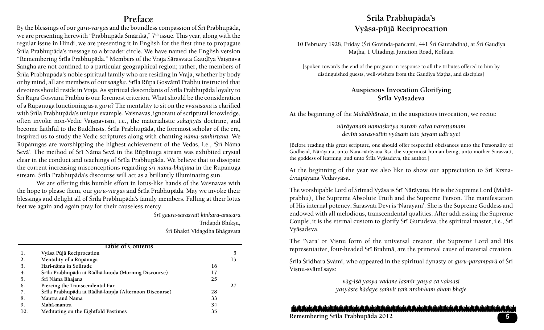## **Preface**

By the blessings of our *guru-vargas* and the boundless compassion of Srī Prabhupāda, we are presenting herewith "Prabhupāda Smārikā," 7<sup>th</sup> issue. This year, along with the regular issue in Hindi, we are presenting it in English for the first time to propagate Śrīla Prabhupāda's message to a broader circle. We have named the English version "Remembering Śrīla Prabhupāda." Members of the Vraja Sārasvata Gaudīya Vaiṣnava Sangha are not confined to a particular geographical region; rather, the members of Śrīla Prabhupāda's noble spiritual family who are residing in Vraja, whether by body or by mind, all are members of our *sangha*. Śrīla Rūpa Gosvāmī Prabhu instructed that devotees should reside in Vraja. As spiritual descendants of Śrīla Prabhupāda loyalty to Śrī Rūpa Gosvāmī Prabhu is our foremost criterion. What should be the consideration of a Rüpänuga functioning as a *guru*? The mentality to sit on the *vyäsäsana* is clarified with Śrīla Prabhupāda's unique example. Vaisnavas, ignorant of scriptural knowledge, often invoke non-Vedic Vaisnavism, i.e., the materialistic *sahajiyās* doctrine, and become faithful to the Buddhists. Śrīla Prabhupāda, the foremost scholar of the era, inspired us to study the Vedic scriptures along with chanting *näma-saìkértana*. We Rūpānugas are worshipping the highest achievement of the Vedas, i.e., 'Śrī Nāma Sevä'. The method of Śrī Nāma Sevā in the Rūpānuga stream was exhibited crystal clear in the conduct and teachings of Śrīla Prabhupāda. We believe that to dissipate the current increasing misconceptions regarding *srī nāma-bhajana* in the Rūpānuga stream, Śrīla Prabhupāda's discourse will act as a brillantly illuminating sun.

We are offering this humble effort in lotus-like hands of the Vaisnavas with the hope to please them, our *guru-vargas* and Śrīla Prabhupāda. May we invoke their blessings and delight all of Śrīla Prabhupāda's family members. Falling at their lotus feet we again and again pray for their causeless mercy.

> *Çré gaura-sarasvaté kiìkara-anucara* Tridandi Bhiksu, Śrī Bhakti Vidagdha Bhāgavata

| Table of Contents |                                                       |    |    |
|-------------------|-------------------------------------------------------|----|----|
| ı.                | Vyāsa Pūjā Reciprocation                              |    | 5  |
| 2.                | Mentality of a Rūpānuga                               |    | 15 |
| 3.                | Hari-nāma in Solitude                                 | 16 |    |
| 4.                | Śrīla Prabhupāda at Rādhā-kuņda (Morning Discourse)   | 17 |    |
| 5.                | Śrī Nāma Bhajana                                      | 25 |    |
| 6.                | Piercing the Transcendental Ear                       |    | 27 |
| 7.                | Śrīla Prabhupāda at Rādhā-kunda (Afternoon Discourse) | 28 |    |
| 8.                | Mantra and Nāma                                       | 33 |    |
| 9.                | Mahā-mantra                                           | 34 |    |
| 10.               | Meditating on the Eightfold Pastimes                  | 35 |    |

# **Çréla Prabhupäda's Vyäsa-püjä Reciprocation**

10 February 1928, Friday (Śrī Govinda-pañcami, 441 Śrī Gaurabdha), at Śrī Gaudīya Matha, 1 Ultadingi Junction Road, Kolkata

[spoken towards the end of the program in response to all the tributes offered to him by distinguished guests, well-wishers from the Gaudīya Matha, and disciples]

#### **Auspicious Invocation Glorifying**  Śrīla Vyāsadeva

**A**t the beginning of the *Mahäbhärata*, in the auspicious invocation, we recite:

*näräyaëaà namaskåtya naraà caiva narottamam devéà sarasvatéà vyäsaà tato jayam udérayet*

[Before reading this great scripture, one should offer respectful obeisances unto the Personality of Godhead, Nārāyaṇa, unto Nara-nārāyaṇa Ŗṣi, the supermost human being, unto mother Sarasvatī, the goddess of learning, and unto Śrīla Vyāsadeva, the author.]

At the beginning of the year we also like to show our appreciation to  $\overline{S}$ ri Krsnadvaipäyana Vedavyäsa.

The worshipable Lord of Śrīmad Vyāsa is Śrī Nārāyaṇa. He is the Supreme Lord (Mahāprabhu), The Supreme Absolute Truth and the Supreme Person. The manifestation of His internal potency, Sarasvatī Devī is 'Nārāyanī'. She is the Supreme Goddess and endowed with all melodious, transcendental qualities. After addressing the Supreme Couple, it is the eternal custom to glorify Sri Gurudeva, the spiritual master, i.e.,  $\overline{\text{Sri}}$ Vyäsadeva.

The 'Nara' or Visnu form of the universal creator, the Supreme Lord and His representative, four-headed Śrī Brahmā, are the primeval cause of material creation.

Śrīla Śrīdhara Svāmī, who appeared in the spiritual dynasty or *guru-paramparā* of Śrī Visnu-svämī says:

> *väg-içä yasya vadane lañmér yasya ca vakñasi yasyäste hädaye saàvit taà nåsiàhaà ahaà bhaje*

شماء بالرياديان بالمباديان بالماديان بالمباديان بالمباديان بالمباديان بالمباديان بالمباديان بالمباديان بالمبادران بالمباديان بالمبادي

**Remembering Çréla Prabhupäda 2012**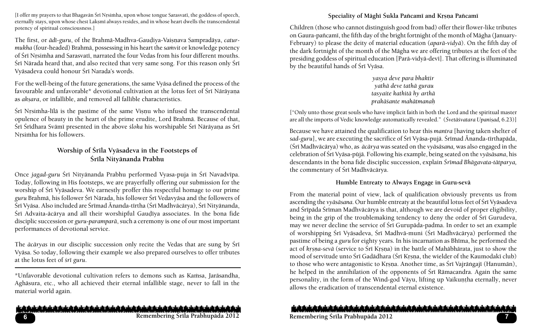[I offer my prayers to that Bhagavān Śrī Nrsimha, upon whose tongue Sarasvatī, the goddess of speech, eternally stays, upon whose chest Laksmi always resides, and in whose heart dwells the transcendental potency of spiritual consciousness.]

The first, or *ādī-guru*, of the Brahmā-Madhva-Gaudiya-Vaisnava Sampradāya, *caturmukha* (four-headed) Brahmā, possessing in his heart the *samvit* or knowledge potency of Śrī Nrsimha and Sarasvatī, narrated the four Vedas from his four different mouths. Śrī Nārada heard that, and also recited that very same song. For this reason only Śrī Vyāsadeva could honour Śrī Narada's words.

For the well-being of the future generations, the same Vyäsa defined the process of the favourable and unfavorable\* devotional cultivation at the lotus feet of Śrī Nārāyana as *aksara*, or infallible, and removed all fallible characteristics.

Śrī Nrsimha-līlā is the pastime of the same Visnu who infused the transcendental opulence of beauty in the heart of the prime erudite, Lord Brahmä. Because of that, Śrī Śrīdhara Svāmī presented in the above *śloka* his worshipable Śrī Nārāyana as Śrī Nrsimha for his followers.

## Worship of Śrīla Vyāsadeva in the Footsteps of **Çréla Nityänanda Prabhu**

Once *jagad-guru* Śrī Nityānanda Prabhu performed Vyasa-puja in Śrī Navadvīpa. Today, following in His footsteps, we are prayerfully offering our submission for the worship of Śrī Vyāsadeva. We earnestly proffer this respectful homage to our prime *guru* Brahmä, his follower Çré Närada, his follower Çré Vedavyäsa and the followers of Śrī Vyāsa. Also included are Śrīmad Ānanda-tīrtha (Śrī Madhvācārya), Śrī Nityānanda, Śrī Advaita-ācārya and all their worshipful Gaudīya associates. In the bona fide disciplic succession or *guru-paramparä*, such a ceremony is one of our most important performances of devotional service.

The *ācāryas* in our disciplic succession only recite the Vedas that are sung by Srī Vyäsa. So today, following their example we also prepared ourselves to offer tributes at the lotus feet of *çré guru*.

\*Unfavorable devotional cultivation refers to demons such as Kamsa, Jarāsandha, Aghäsura, etc., who all achieved their eternal infallible stage, never to fall in the material world again.

#### والمراجعات والمناديان والمنادران والمنادران والمنادران والمنادران والمنادران والمنادران والمنادران والمنادران والمنادران والمنا

## Speciality of Māghī Śukla Pañcamī and Krsna Pañcamī

Children (those who cannot distinguish good from bad) offer their flower-like tributes on Gaura-pañcami, the fifth day of the bright fortnight of the month of Māgha (January-February) to please the deity of material education (*aparä-vidyä*). On the fifth day of the dark fortnight of the month of the Mägha we are offering tributes at the feet of the presiding goddess of spiritual education [Parā-vidyā-devī]. That offering is illuminated by the beautiful hands of Śrī Vyāsa.

> *yasya deve para bhaktir yathä deve tathä gurau tasyaite kathitä hy arthä prakäçante mahätmanaù*

["Only unto those great souls who have implicit faith in both the Lord and the spiritual master are all the imports of Vedic knowledge automatically revealed." (*Śvetāśvatara Upaniṣad*, 6.23)]

Because we have attained the qualification to hear this *mantra* [having taken shelter of sad-guru], we are executing the sacrifice of Śrī Vyāsa-pujā. Śrīmad Ānanda-tīrthapāda, (Śrī Madhvācārya) who, as *ācārya* was seated on the *vyāsāsana*, was also engaged in the celebration of Çré Vyäsa-püjä. Following his example, being seated on the *vyäsäsana*, his descendants in the bona fide disciplic succession, explain *Çrémad Bhägavata-tätparya,* the commentary of Śrī Madhvācārya.

#### **Humble Entreaty to Always Engage in Guru-sevä**

From the material point of view, lack of qualification obviously prevents us from ascending the *vyāsāsana*. Our humble entreaty at the beautiful lotus feet of Śrī Vyāsadeva and Śrīpāda Śrīman Madhvācārya is that, although we are devoid of proper eligibility, being in the grip of the troublemaking tendency to deny the order of Śrī Gurudeva, may we never decline the service of Śrī Gurupāda-padma. In order to set an example of worshipping Śrī Vyāsadeva, Śrī Madhvā-muni (Śrī Madhvācārya) performed the pastime of being a *guru* for eighty years. In his incarnation as Bhima, he performed the act of *krsna-sevā* (service to Śrī Krsna) in the battle of Mahābhārata, just to show the mood of servitude unto Śrī Gadādhara (Śrī Krsna, the wielder of the Kaumodakī club) to those who were antagonistic to Krsna. Another time, as Śrī Vajrāṅgajī (Hanumān), he helped in the annihilation of the opponents of Śrī Rāmacandra. Again the same personality, in the form of the Wind-god Vāyu, lifting up Vaikuntha eternally, never allows the eradication of transcendental eternal existence.

#### والرشماء باز بالماديار بالماديار بالماديار بالماديار بالماديار بالماديار بالماديار بالماديار بالماديار بالماديار بالماديار بالماديار

**Remembering Çréla Prabhupäda 2012 7 Remembering Çréla Prabhupäda 2012**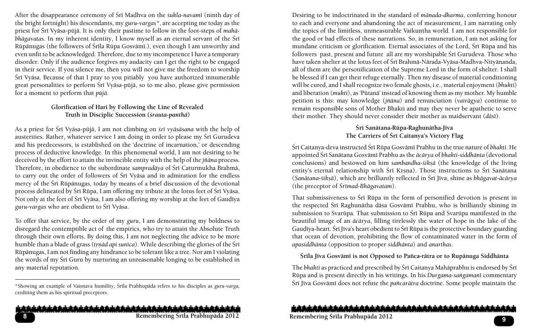After the disappearance ceremony of Çré Madhva on the *çukla-navamé* (ninth day of the bright fortnight) his descendants, my *guru-vargas\**, are accepting me today as the priest for Çré Vyäsa-püjä. It is only their pastime to follow in the foot-steps of *mahäbhāgavatas*. In my inherent identity, I know myself as an eternal servant of the Sri Rūpānugas (the followers of Śrīla Rūpa Gosvāmī.), even though I am unworthy and even unfit to be acknowledged. Therefore, due to my incompetence I have a temporary disorder. Only if the audience forgives my audacity can I get the right to be engaged in their service. If you silence me, then you will not give me the freedom to worship Śrī Vyāsa. Because of that I pray to you pitiably you have authorized innumerable great personalities to perform Śrī Vyāsa-pūjā, so to me also, please give permission for a moment to perform that *püjä*.

#### **Glorification of Hari by Following the Line of Revealed Truth in Disciplic Succession (***çrauta-panthä***)**

As a priest for Çré Vyäsa-püjä, I am not climbing on *çré vyäsäsana* with the help of austerities. Rather, whatever service I am doing in order to please my Śrī Gurudeva and his predecessors, is established on the 'doctrine of incarnation,' or descending process of deductive knowledge. In this phenomenal world, I am not desiring to be deceived by the effort to attain the invincible entity with the help of the *jïäna* process. Therefore, in obedience to the subordinate *sampradāya* of Śrī Caturmukha Brahmā, to carry out the order of followers of Śrī Vyāsa and in admiration for the endless mercy of the Śrī Rūpānugas, today by means of a brief discussion of the devotional process delineated by Śrī Rūpa, I am offering my tribute at the lotus feet of Śrī Vyāsa. Not only at the feet of Śrī Vyāsa, I am also offering my worship at the feet of Gaudīya *guru-vargas* who are obedient to Çré Vyäsa.

To offer that service, by the order of my *guru*, I am demonstrating my boldness to disregard the contemptible act of the empirics, who try to attain the Absolute Truth through their own efforts. By doing this, I am not neglecting the advice to be more humble than a blade of grass (*trnād api sunīca*). While describing the glories of the Śrī Rüpänugas, I am not finding any hindrance to be tolerant like a tree. Nor am I violating the words of my Srī Guru by nurturing an unreasonable longing to be established in any material reputation.

\*Showing an example of Vaiñëava humility, Çréla Prabhupäda refers to his disciples as *guru-varga,*  crediting them as his spiritual preceptors.

المناز والملمش والمنامش والمنامش والمناجش والمنامش والمناسش والمناسش والمناسش والمناسش والمناسش والمناسش والمناسخة **Remembering Çréla Prabhupäda 2012 <sup>9</sup> Remembering Çréla Prabhupäda 2012 8**

Desiring to be indoctrinated in the standard of *mänada-dharma*, conferring honour to each and everyone and abandoning the act of measurement, I am narrating only the topics of the limitless, unmeasurable Vaikuntha world. I am not responsible for the good or bad effects of these narrations. So, in remuneration, I am not asking for mundane criticism or glorification. Eternal associates of the Lord, Śrī Rūpa and his followers past, present and future all are my worshipable Śrī Gurudeva. Those who have taken shelter at the lotus feet of Śrī Brahmā-Nārada-Vyāsa-Madhva-Nityānanda, all of them are the personification of the Supreme Lord in the form of shelter. I shall be blessed if I can get their refuge eternally. Then my disease of material conditioning will be cured, and I shall recognize two female ghosts, i.e., material enjoyment (*bhukti*) and liberation (*mukti*), as 'Pütanä' instead of knowing them as my mother. My humble petition is this: may knowledge (*jïäna*) and renunciation (*vairägya*) continue to remain responsible sons of Mother Bhakti and may they never be apathetic to serve their mother. They should never consider their mother as maidservant (dāsī).

## Śrī Sanātana-Rūpa-Raghunātha-Jīva The Carriers of **Śrī Caitanya's Victory Flag**

Śrī Caitanya-deva instructed Śrī Rūpa Gosvāmī Prabhu in the true nature of *bhakti*. He appointed Çré Sanätana Gosvämé Prabhu as the *äcärya* of *bhakti-siddhänta* (devotional conclusions) and bestowed on him *sambandha-śikṣā* (the knowledge of the living entity's eternal relationship with Śrī Krsna). Those instructions to Śrī Sanātana (Sanātana-śikṣā), which are brilliantly reflected in Śrī Jīva, shine as *bhāgavat-ācārya* (the preceptor of *Çrémad-Bhägavatam*).

That submissiveness to Śrī Rūpa in the form of personified devotion is present in the respected Śrī Raghunātha dāsa Gosvāmī Prabhu, who is brilliantly shining in submission to Svarūpa. That submission to Śrī Rūpa and Svarūpa manifested in the beautiful image of an *äcärya*, filling tirelessly the water of hope in the lake of the Gaudīya-heart. Śrī Jīva's heart obedient to Śrī Rūpa is the protective boundary guarding that ocean of devotion, prohibiting the flow of contaminated water in the form of *apasiddhänta* (opposition to proper *siddhänta*) and *anarthas*.

#### **Çréla Jéva Gosvämé is not Opposed to Païca-rätra or to Rupänuga Siddhänta**

The *bhakti* as practiced and prescribed by Śrī Caitanya Mahāprabhu is endorsed by Śrī Rüpa and is present directly in his writings. In his *Durgama-saìgamané* commentary Śrī Jīva Gosvāmī does not refute the *pañcarātra* doctrine. Some people maintain the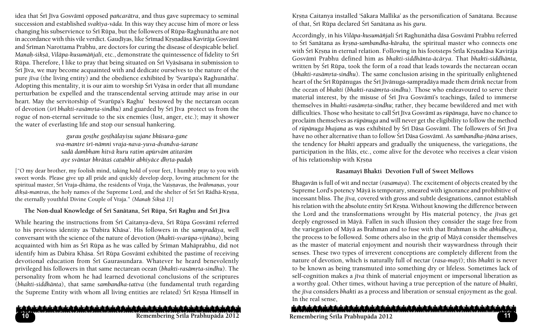idea that Śrī Jīva Gosvāmī opposed *pañcarātra*, and thus gave supremacy to seminal succession and established *svakéya-väda.* In this way they accuse him of more or less changing his subservience to Śrī Rūpa, but the followers of Rūpa-Raghunātha are not in accordance with this vile verdict. Gaudīyas, like Śrīmad Krsnadāsa Kavirāja Gosvāmī and Śrīman Narottama Prabhu, are doctors for curing the disease of despicable belief. *Manaù-çikñä*, *Viläpa-kusumäïjali*, etc., demonstrate the quintessence of fidelity to Çré Rūpa. Therefore, I like to pray that being situated on Śrī Vyāsāsana in submission to Śrī Jīva, we may become acquainted with and dedicate ourselves to the nature of the pure *jéva* (the living entity) and the obedience exhibited by 'Svarüpa's Raghunätha'. Adopting this mentality, it is our aim to worship Śrī Vyāsa in order that all mundane perturbation be expelled and the transcendental serving attitude may arise in our heart. May the servitorship of 'Svarüpa's Raghu' bestowed by the nectarean ocean of devotion (*śrī bhakti-rasāmrta-sindhu*) and guarded by Śrī Jīva protect us from the rogue of non-eternal servitude to the six enemies (lust, anger, etc.); may it shower the water of everlasting life and stop our sensual hankering.

> *gurau goñöhe goñöhälayiñu sujane bhüsura-gane sva-mantre çré-nämni vraja-nava-yuva-dvandva-çaraëe sadä dambham hitvä kuru ratim apürväm atitaräm aye sväntar bhrätaç caöubhir abhiyäce dhåta-padaù*

["O my dear brother, my foolish mind, taking hold of your feet, I humbly pray to you with sweet words. Please give up all pride and quickly develop deep, loving attachment for the spiritual master, Śrī Vraja-dhāma, the residents of Vraja, the Vaisnavas, the *brāhmanas*, your *dīkṣā-mantras*, the holy names of the Supreme Lord, and the shelter of Śrī Śrī Rādhā-Kṛṣṇa, the eternally youthful Divine Couple of Vraja." *(Manah Śiksā 1)*]

## The Non-dual Knowledge of Śrī Sanātana, Śrī Rūpa, Śrī Raghu and Śrī Jīva

While hearing the instructions from Śrī Caitanya-deva, Śrī Rūpa Gosvāmī referred to his previous identity as 'Dabira Khäsa'. His followers in the *sampradäya,* well conversant with the science of the nature of devotion (*bhakti-svarüpa-vijïäna*), being acquainted with him as Śrī Rūpa as he was called by Śrīman Mahāprabhu, did not identify him as Dabira Khāsa. Śrī Rūpa Gosvāmī exhibited the pastime of receiving devotional education from Sri Gaurasundara. Whatever he heard benevolently privileged his followers in that same nectarean ocean (*bhakti-rasāmrta-sindhu*). The personality from whom he had learned devotional conclusions of the scriptures (*bhakti-siddhänta*), that same *sambandha-tattva* (the fundamental truth regarding the Supreme Entity with whom all living entities are related) Śrī Krsna Himself in

## المشرش والمناديش والمباديش والمواحد والشروان والمواجب والمواجر والمواجر والمواجران والمواجر والمواجران والمواجر والمواجر والمواجر

**10**

Krsna Caitanya installed 'Sākara Mallika' as the personification of Sanātana. Because of that, Çré Rüpa declared Çré Sanätana as his *guru*.

Accordingly, in his *Viläpa-kusumäïjali* Çré Raghunätha däsa Gosvämé Prabhu referred to Śrī Sanātana as *krsna-sambandha-kāraka*, the spiritual master who connects one with Śrī Krsna in eternal relation. Following in his footsteps Śrīla Krsnadāsa Kavirāja Gosvämé Prabhu defined him as *bhakti-siddhänta-äcärya*. That *bhakti-siddhänta,* written by Śrī Rūpa, took the form of a road that leads towards the nectarean ocean (bhakti-rasāmrta-sindhu). The same conclusion arising in the spiritually enlightened heart of the Śrī Rūpānugas the Śrī Jīvānuga-sampradāya made them drink nectar from the ocean of *bhakti (bhakti-rasāmrta-sindhu*). Those who endeavoured to serve their material interest, by the misuse of Śrī Jīva Gosvāmī's teachings, failed to immerse themselves in *bhakti-rasāmrta-sindhu*; rather, they became bewildered and met with difficulties. Those who hesitate to call Śrī Jīva Gosvāmī as *rūpānuga*, have no chance to proclaim themselves as *rüpänuga* and will never get the eligibility to follow the method of *rūpānuga bhajana* as was exhibited by Śrī Dāsa Gosvāmī. The followers of Śrī Jīva have no other alternative than to follow Śrī Dāsa Gosvāmī. As *sambandha-jñāna* arises, the tendency for *bhakti* appears and gradually the uniqueness, the variegations, the participation in the *léläs*, etc., come alive for the devotee who receives a clear vision of his relationship with Krsna

#### **Rasamayé Bhakti Devotion Full of Sweet Mellows**

Bhagavän is full of wit and nectar (*rasamaya*). The excitement of objects created by the Supreme Lord's potency Mäyä is temporary, smeared with ignorance and prohibitive of incessant bliss. The *jīva*, covered with gross and subtle designations, cannot establish his relation with the absolute entity Śrī Krsna. Without knowing the difference between the Lord and the transformations wrought by His material potency, the *jévas* get deeply engrossed in Mäyä. Fallen in such illusion they consider the stage free from the variegation of Mäyä as Brahman and to fuse with that Brahman is the *abhidheya*, the process to be followed. Some others also in the grip of Mäyä consider themselves as the master of material enjoyment and nourish their waywardness through their senses. These two types of irreverent conceptions are completely different from the nature of devotion, which is naturally full of nectar (*rasa-mayé*); this *bhakti* is never to be known as being transmuted into something dry or lifeless. Sometimes lack of self-cognition makes a *jéva* think of material enjoyment or impersonal liberation as a worthy goal. Other times, without having a true perception of the nature of *bhakti*, the *j*īva considers *bhakti* as a process and liberation or sensual enjoyment as the goal. In the real sense,

## ويقصاد بقريقصاء باريقصاء بازريقصاديق بالصاديق بالصاحبة وشطحية والصاحبان بالصاديق بالصاديق بالصاديق بالصاحبة والصاحبة والصادية **Remembering Çréla Prabhupäda 2012 11 Remembering Çréla Prabhupäda 2012**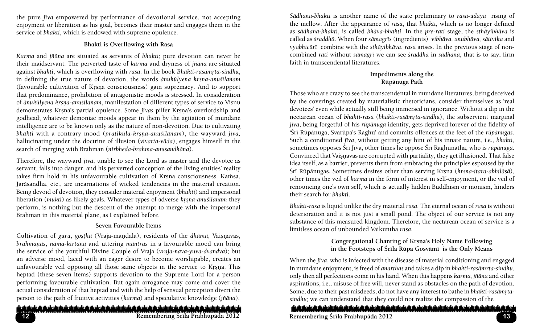the pure *jiva* empowered by performance of devotional service, not accepting enjoyment or liberation as his goal, becomes their master and engages them in the service of *bhakti*, which is endowed with supreme opulence.

#### **Bhakti is Overflowing with Rasa**

*Karma* and *jïäna* are situated as servants of *bhakti*; pure devotion can never be their maidservant. The perverted taste of *karma* and dryness of *jïäna* are situated against *bhakti*, which is overflowing with *rasa*. In the book *Bhakti-rasāmrta-sindhu*, in defining the true nature of devotion, the words *ānukūlyena krsna-anustilanam* (favourable cultivation of Krsna consciousness) gain supremacy. And to support that predominance, prohibition of antagonistic moods is stressed. In consideration of *ānukūlyena krsna-anustlanam*, manifestation of different types of service to Visnu demonstrates Krsna's partial opulence. Some *jīvas* pilfer Krsna's overlordship and godhead; whatever demoniac moods appear in them by the agitation of mundane intelligence are to be known only as the nature of non-devotion. Due to cultivating *bhakti* with a contrary mood (*pratiküla-kåñëa-anuçélanam*), the wayward *jéva,* hallucinating under the doctrine of illusion (*vivarta-väda*), engages himself in the search of merging with Brahman (nirbheda-brahma-anusandhāna).

Therefore, the wayward *jīva*, unable to see the Lord as master and the devotee as servant, falls into danger, and his perverted conception of the living entities' reality takes firm hold in his unfavourable cultivation of Krsna consciousness. Kamsa, Jaräsandha, etc., are incarnations of wicked tendencies in the material creation. Being devoid of devotion, they consider material enjoyment (*bhukti*) and impersonal liberation (*mukti*) as likely goals. Whatever types of adverse *krsna-anustilanam* they perform, is nothing but the descent of the attempt to merge with the impersonal Brahman in this material plane, as I explained before.

## **Seven Favourable Items**

Cultivation of *guru*, *gostha* (Vraja-mandala), residents of the *dhāma*, Vaisnavas, *brähmaëas*, *näma-kértana* and uttering *mantras* in a favourable mood can bring the service of the youthful Divine Couple of Vraja (*vraja-nava-yuva-dvandva*); but an adverse mood, laced with an eager desire to become worshipable, creates an unfavourable veil opposing all those same objects in the service to Krsna. This heptad (these seven items) supports devotion to the Supreme Lord for a person performing favourable cultivation. But again arrogance may come and cover the actual consideration of that heptad and with the help of sensual perception divert the person to the path of fruitive activities (*karma*) and speculative knowledge (*jïäna*).

والمرائح بالمبادر المراقبان والمنامران بالمبادرة والمزادر الموارد والمراق المبادران بالمبادرات والمراق بالمبادران بالمبادرات بالمراق

*Sädhana-bhakti* is another name of the state preliminary to *rasa-udaya* rising of the mellow. After the appearance of *rasa*, that *bhakti,* which is no longer defined as *sädhana-bhakti*, is called *bhäva-bhakti*. In the *pre-rati* stage, the *sthäyibhäva* is called as *çraddhä*. When four *sämagrés* (ingredients) *vibhäva, anubhäva, sättvika* and *vyabhicäré* combine with the *sthäyibhäva*, *rasa* arises. In the previous stage of noncombined *rati* without *sämagré* we can see *çraddhä* in *sädhanä*, that is to say, firm faith in transcendental literatures.

#### **Impediments along the Rüpänuga Path**

Those who are crazy to see the transcendental in mundane literatures, being deceived by the coverings created by materialistic rhetoricians, consider themselves as 'real devotees' even while actually still being immersed in ignorance. Without a dip in the nectarean ocean of *bhakti-rasa* (*bhakti-rasāmrta-sindhu*), the subservient marginal *j*iva, being forgetful of his *rūpānuga* identity, gets deprived forever of the fidelity of 'Śrī Rūpānuga, Svarūpa's Raghu' and commits offences at the feet of the *rūpānugas*. Such a conditioned *jéva*, without getting any hint of his innate nature, i.e., *bhakti*, sometimes opposes Çré Jéva, other times he oppose Çré Raghunätha, who is *rüpänuga*. Convinced that Vaisnavas are corrupted with partiality, they get illusioned. That false idea itself, as a barrier, prevents them from embracing the principles espoused by the Śrī Rūpānugas. Sometimes desires other than serving Krsna (*krsna-itara-abhilāṣā*), other times the veil of *karma* in the form of interest in self-enjoyment, or the veil of renouncing one's own self, which is actually hidden Buddhism or monism, hinders their search for *bhakti*.

*Bhakti-rasa* is liquid unlike the dry material *rasa*. The eternal ocean of *rasa* is without deterioration and it is not just a small pond. The object of our service is not any substance of this measured kingdom. Therefore, the nectarean ocean of service is a limitless ocean of unbounded Vaikuntha rasa.

## **Congregational Chanting of Kåñëa's Holy Name** F**ollowing**  in the Footsteps of *Śrīla Rūpa Gosvāmī* is the Only Means

When the *jiva*, who is infected with the disease of material conditioning and engaged in mundane enjoyment, is freed of *anarthas* and takes a dip in *bhakti-rasāmrta-sindhu*, only then all perfections come in his hand. When this happens *karma, jïäna* and other aspirations, i.e., misuse of free will, never stand as obstacles on the path of devotion. Some, due to their past misdeeds, do not have any interest to bathe in *bhakti-rasāmrtasindhu;* we can understand that they could not realize the compassion of the

المشرش والمناديش شماله يشربان بالمناديش بالمباديش بالمباديش بالمباديش بالمباديش والمباديش بالمباديش بالمباديش بالمباديش بالمباد **Remembering Çréla Prabhupäda 2012 13 Remembering Çréla Prabhupäda 2012**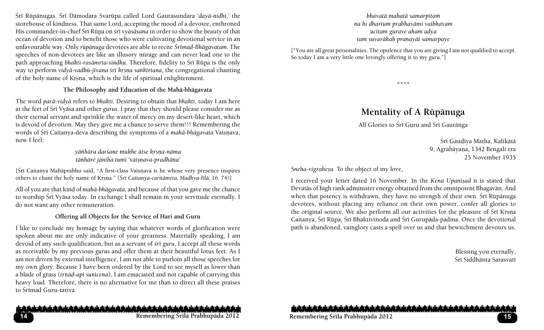Çré Rüpänugas. Çré Dämodara Svarüpa called Lord Gaurasundara '*dayä-nidhi,*' the storehouse of kindness. That same Lord, accepting the mood of a devotee, enthroned His commander-in-chief Śrī Rūpa on *śrī vyāsāsana* in order to show the beauty of that ocean of devotion and to benefit those who were cultivating devotional service in an unfavourable way. Only *rüpänuga* devotees are able to recite *Çrémad-Bhägavatam*. The speeches of non-devotees are like an illusory mirage and can never lead one to the path approaching *bhakti-rasāmrta-sindhu*. Therefore, fidelity to Śrī Rūpa is the only way to perform *vidyā-vadhū-jīvana śrī krsna sankīrtana*, the congregational chanting of the holy name of Krsna, which is the life of spiritual enlightenment.

#### **The Philosophy and Education of the Mahä-bhägavata**

The word *parä-vidyä* refers to *bhakti*. Desiring to obtain that *bhakti*, today I am here at the feet of Çré Vyäsa and other *gurus*. I pray that they should please consider me as their eternal servant and sprinkle the water of mercy on my desert-like heart, which is devoid of devotion. May they give me a chance to serve them!!! Remembering the words of Śrī Caitanya-deva describing the symptoms of a *mahā-bhāgavata* Vaiṣṇava, now I feel:

> *yäìhära darçane mukhe äise kåñëa-näma täìhäre jäniha tumi 'vaiñëava-pradhäna'*

[Śrī Caitanya Mahāprabhu said, "A first-class Vaiṣṇava is he whose very presence inspires others to chant the holy name of Krsna." (*Śrī Caitanya-caritāmrta, Madhya-līlā*, 16. 74)]

All of you are that kind of *mahä-bhägavata*, and because of that you gave me the chance to worship Śrī Vyāsa today. In exchange I shall remain in your servitude eternally. I do not want any other remuneration.

#### **Offering all Objects for the Service of Hari and Guru**

I like to conclude my homage by saying that whatever words of glorification were spoken about me are only indicative of your greatness. Materially speaking, I am devoid of any such qualification, but as a servant of *sri guru*, I accept all these words as receivable by my previous *gurus* and offer them at their beautiful lotus feet. As I am not driven by external intelligence, I am not able to purloin all those speeches for my own glory. Because I have been ordered by the Lord to see myself as lower than a blade of grass (*trnād-api sunīcena*), I am emaciated and not capable of carrying this heavy load. Therefore, there is no alternative for me than to direct all these praises to Śrīmad Guru-tattva.

#### *bhavatä mahatä samarpitaà na hi dhartuà prabhavämi vaibhavam ucitam gurave ahaà adya taà suvaräkaù praëayät samarpaye*

["You are all great personalities. The opulence that you are giving I am not qualified to accept. So today I am a very little one lovingly offering it to my *guru*."]

\*\*\*\*

# **Mentality of A Rüpänuga**

All Glories to Śrī Guru and Śrī Gaurānga

Śrī Gaudīya Matha, Kalikātā 9, Agrahāyana, 1342 Bengali era 25 November 1935

*Sneha-vigraheñu* To the object of my love,

I received your letter dated 16 November. In the *Kena Upanisad* it is stated that Devatäs of high rank administer energy obtained from the omnipotent Bhagavän. And when that potency is withdrawn, they have no strength of their own. Śrī Rūpānuga devotees, without placing any reliance on their own power, confer all glories to the original source. We also perform all our activities for the pleasure of Śrī Krsna Caitanya, Śrī Rūpa, Śrī Bhaktivinoda and Śrī Gurupāda-padma. Once the devotional path is abandoned, vainglory casts a spell over us and that bewitchment devours us.

> Blessing you eternally, Śrī Siddhānta Sarasvatī

او باز عادیان باز عادیان باز عادیان باز عادیان باز عادیان باز عادیان باز عادیان باز عادیان باز عادیان باز عادیان باز عادیان بازد

والمراد والمناديان والمناديان والمناديان والمنادرات والمناديان والمناديان والمناديان والمناديان والمناديان والمناديان والمناديان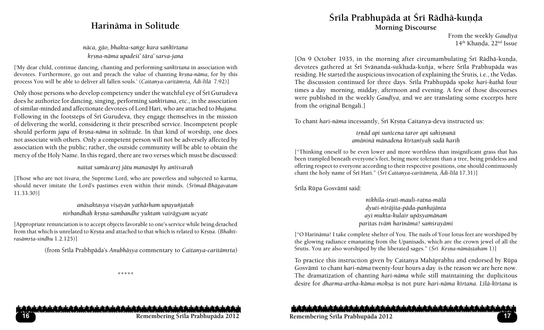# **Harinäma in Solitude**

*näca, gäo, bhakta-saìge kara saìkértana kåñëa-näma upadeçi' tära' sarva-jana*

['My dear child, continue dancing, chanting and performing *saìkértana* in association with devotees. Furthermore, go out and preach the value of chanting *krsna-nāma*, for by this process You will be able to deliver all fallen souls.' (*Caitanya-caritāmrta*,  $\overline{A}di$ -līlā 7.92)]

Only those persons who develop competency under the watchful eye of Śrī Gurudeva does he authorize for dancing, singing, performing *saìkértana*, etc., in the association of similar-minded and affectionate devotees of Lord Hari, who are attached to *bhajana*. Following in the footsteps of Sri Gurudeva, they engage themselves in the mission of delivering the world, considering it their prescribed service. Incompetent people should perform *japa* of *krsna-nāma* in solitude. In that kind of worship, one does not associate with others. Only a competent person will not be adversely affected by association with the public; rather, the outside community will be able to obtain the mercy of the Holy Name. In this regard, there are two verses which must be discussed:

*naitat samäcarej jätu manasäpi hy anéçvaraù*

[Those who are not *éçvara*, the Supreme Lord, who are powerless and subjected to karma, should never imitate the Lord's pastimes even within their minds. (*Çrémad-Bhägavatam* 11.33.30)]

> *anäsaktasya viñayän yathärham upayuïjataù nirbandhaù kåñëa-sambandhe yuktaà vairägyam ucyate*

[Appropriate renunciation is to accept objects favorable to one's service while being detached from that which is unrelated to Krsna and attached to that which is related to Krsna. (*Bhakti*rasām*rta-sindhu* 1.2.125)]

(from Śrīla Prabhpāda's *Anubhāṣya* commentary to *Caitanya-caritāmṛta*)

\*\*\*\*\*

# **Çréla Prabhupäda at Çré Rädhä-kuëòa Morning Discourse**

From the weekly *Gaudīya* 14<sup>th</sup> Khanda, 22<sup>nd</sup> Issue

[On 9 October 1935, in the morning after circumambulating Śrī Rādhā-kunda, devotees gathered at Śrī Svānanda-sukhada-kuñja, where Śrīla Prabhupāda was residing. He started the auspicious invocation of explaining the Çrutis*,* i.e., the Vedas. The discussion continued for three days. Śrīla Prabhupāda spoke *hari-kathā* four times a day morning, midday, afternoon and evening. A few of those discourses were published in the weekly *Gaudīya*, and we are translating some excerpts here from the original Bengali.]

To chant *hari-nāma* incessantly, Śrī Krsna Caitanya-deva instructed us:

*tåëäd api sunécena taror api sahiñëunä amäninä mänadena kértanéyaù sadä hariù*

["Thinking oneself to be even lower and more worthless than insignificant grass that has been trampled beneath everyone's feet, being more tolerant than a tree, being prideless and offering respect to everyone according to their respective positions, one should continuously chant the holy name of Śrī Hari." (*Śrī Caitanya-caritāmrta*, Ādi-līlā 17.31)]

Śrīla Rūpa Gosvāmī said:

*nikhila-çruti-mauli-ratna-mälä dyuti-néräjita-päda-paìkajänta ayi mukta-kulair upäsyamänaà paritas tväà harinäma! saàçrayämi*

["O Harinäma! I take complete shelter of You. The nails of Your lotus feet are worshiped by the glowing radiance emanating from the Upanisads, which are the crown jewel of all the Śrutis. You are also worshiped by the liberated sages." (*Śrī Krsna-nāmāstakam* 1)]

To practice this instruction given by Caitanya Mahäprabhu and endorsed by Rüpa Gosvämé to chant *hari-näma* twenty-four hours a day is the reason we are here now. The dramatization of chanting *hari-näma* while still maintaining the duplicitous desire for *dharma-artha-käma-mokña* is not pure *hari-näma kértana. Lélä-kértana* is

#### شماء شرشماء شروان شماه بشرشمش شماه شروان شماه بشماه بشروان والماله شماه شرواه والمشرش شماه بشرواه والمباهر شواه والم

**Remembering Çréla Prabhupäda 2012 17 Remembering Çréla Prabhupäda 2012**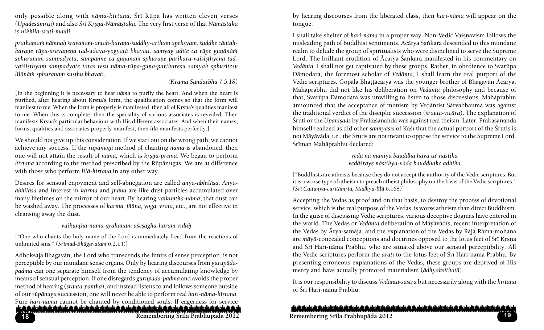only possible along with *nāma-kīrtana*. Šrī Rūpa has written eleven verses (*Upadeçämåta*) and also *Çré Kåñëa-Nämäñtaka*. The very first verse of that *Nämäñtaka* is *nikhila-çruti-mauli.* 

*prathamam nāmnaḥ śravaṇam-antaḥ-karaṇa-śuddhy-artham apekṣyam. śuddhe cāntaḥ*karane rūpa-*śravanena tad-udaya-yogyatā bhavati. samyag udite ca rūpe gunānām* sphuranam sampadyeta, sampanne ca gunānām sphurane parikara-vaisisthyena tadvaisisthyam sampadyate tatas tesu nāma-rūpa-guna-parikaresu samyak sphuritesu *līlānām sphuraņam susthu bhavati.* 

#### *(Krama Sandarbha 7.5.18)*

[In the beginning it is necessary to hear *näma* to purify the heart. And when the heart is purified, after hearing about Krsna's form, the qualification comes so that the form will manifest to me. When the form is properly is manifested, then all of Krsna's qualities manifest to me. When this is complete, then the speciality of various associates is revealed. Then manifests Krsna's particular behaviour with His different associates. And when their names, forms, qualities and associates properly manifest, then *lélä* manifests perfectly.]

We should not give up this consideration. If we start out on the wrong path, we cannot achieve any success. If the *rüpänuga* method of chanting *näma* is abandoned, then one will not attain the result of *nāma*, which is *krsna-prema*. We began to perform *kértana* according to the method prescribed by the Rüpänugas. We are at difference with those who perform *līlā-kīrtana* in any other way.

Desires for sensual enjoyment and self-abnegation are called *anya-abhilāsa*. Anya*abhiläña* and interest in *karma* and *jïäna* are like dust particles accumulated over many lifetimes on the mirror of our heart. By hearing *vaikuntha-nāma*, that dust can be washed away. The processes of *karma, jïäna, yoga, vrata,* etc., are not effective in cleansing away the dust.

## *vaikuëöha-näma-grahaëam açeñägha-haraà viduù*

["One who chants the holy name of the Lord is immediately freed from the reactions of unlimited sins." (*Çrémad-Bhägavatam* 6.2.14)]

**18** Adhoksaja Bhagavān, the Lord who transcends the limits of sense perception, is not perceptible by our mundane sense organs. Only by hearing discourses from *gurupädapadma* can one separate himself from the tendency of accumulating knowledge by means of sensual perception. If one disregards *gurupäda-padma* and avoids the proper method of hearing (*çrauta-pantha*), and instead listens to and follows someone outside of our *rüpänuga* succession, one will never be able to perform real *hari-näma-kértana*. Pure *hari-nāma* cannot be chanted by conditioned souls. If eagerness for service by hearing discourses from the liberated class, then *hari-näma* will appear on the tongue.

I shall take shelter of *hari-nāma* in a proper way. Non-Vedic Vaisnavism follows the misleading path of Buddhist sentiments. Ācārya Śaṅkara descended to this mundane realm to delude the group of spiritualists who were disinclined to serve the Supreme Lord. The brilliant erudition of Ācārya Śaṅkara manifested in his commentary on *Vedänta*. I shall not get captivated by these groups. Rather, in obedience to Svarüpa Dämodara, the foremost scholar of *Vedänta*, I shall learn the real purport of the Vedic scriptures. Gopāla Bhaṭṭācārya was the younger brother of Bhagavān Ācārya. Mahäprabhu did not like his deliberation on *Vedänta* philosophy and because of that, Svarüpa Dämodara was unwilling to listen to those discussions. Mahäprabhu announced that the acceptance of monism by Vedäntist Särvabhauma was against the traditional verdict of the disciplic succession (*çrauta-vicära*). The explanation of Śruti or the *Upanisads* by Prakāśānanda was against real theism. Later, Prakāśānanda himself realized as did other *sannyäsés* of Käçé that the actual purport of the Çrutis is not Mäyäväda, i.e., the Çrutis are not meant to oppose the service to the Supreme Lord. Śrīman Mahāprabhu declared:

> *veda nä mäniyä bauddha haya ta' nästika vedäçraye nästikya-väda bauddhake adhika*

["Buddhists are atheists because they do not accept the authority of the Vedic scriptures. But it is a worse type of atheism to preach atheist philosophy on the basis of the Vedic scriptures." (*Çré Caitanya-caritämåta, Madhya-lélä* 6.168)]

Accepting the Vedas as proof and on that basis, to destroy the process of devotional service, which is the real purpose of the Vedas, is worse atheism than direct Buddhism. In the guise of discussing Vedic scriptures, various deceptive dogmas have entered in the world. The Vedas or *Vedänta* deliberation of Mäyävädés, recent interpretation of the Vedas by Ärya-samäja, and the explanation of the Vedas by Räjä Räma-mohana are *māyā*-concealed conceptions and doctrines opposed to the lotus feet of Śrī Krsna and Śrī Hari-nāma Prabhu, who are situated above our sensual perceptibility. All the Vedic scriptures perform the *ārat*ī to the lotus feet of Śrī Hari-nāma Prabhu. By presenting erroneous explanations of the Vedas, these groups are deprived of His mercy and have actually promoted materialism ( $\bar{a}$ dhyaksitkatā).

It is our responsibility to discuss *Vedänta-çästra* but necessarily along with the *kértana*  of Śrī Hari-nāma Prabhu.

المنازع شمالميش بشماله يشرك والريش بالممالح بالمداميش بالمدار والمداري المدارييان بالمداري بالمداريش بالمداريش بالمداريش بالمراريات **Remembering Çréla Prabhupäda 2012 19 Remembering Çréla Prabhupäda 2012**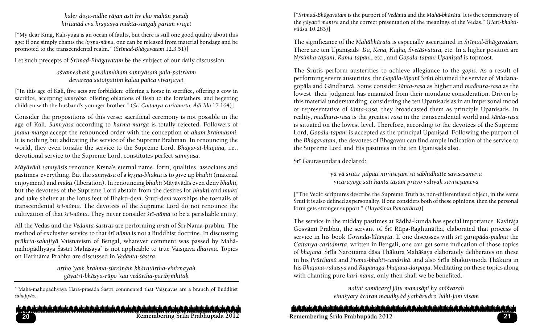*kaler dosa-nidhe rājan asti hy eko mahān gunah kértanäd eva kåñëasya mukta-saìgaù paraà vrajet*

["My dear King, Kali-yuga is an ocean of faults, but there is still one good quality about this age: if one simply chants the *krsna-nāma*, one can be released from material bondage and be promoted to the transcendental realm." (*Śrīmad-Bhāgavatam* 12.3.51)]

Let such precepts of *Śrīmad-Bhāgavatam* be the subject of our daily discussion.

#### *açvamedhaà gavälambhaà sannyäsaà pala-paitåkam devareëa sutotpattià kalau païca vivarjayet*

["In this age of Kali, five acts are forbidden: offering a horse in sacrifice, offering a cow in sacrifice, accepting *sannyäsa*, offering oblations of flesh to the forefathers, and begetting children with the husband's younger brother." (*Śrī Caitanya-caritāmrta*, *Ādi-līlā* 17.164)]

Consider the propositions of this verse: sacrificial ceremony is not possible in the age of Kali. *Sannyäsa* according to *karma-märga* is totally rejected. Followers of *jñāna-mārga accept the renounced order with the conception of aham brahmāsmi.* It is nothing but abdicating the service of the Supreme Brahman. In renouncing the world, they even forsake the service to the Supreme Lord. *Bhagavat-bhajana,* i.e., devotional service to the Supreme Lord, constitutes perfect *sannyäsa*.

*Mäyävädī sannyäsīs renounce Krsna's eternal name, form, qualities, associates and* pastimes everything. But the *sannyāsa* of a *krsna-bhakta* is to give up *bhukti* (material enjoyment) and *mukti* (liberation). In renouncing *bhukti* Māyāvādīs even deny *bhakti*, but the devotees of the Supreme Lord abstain from the desires for *bhukti* and *mukti* and take shelter at the lotus feet of Bhakti-devī. Śruti-devī worships the toenails of transcendental *çré-näma*. The devotees of the Supreme Lord do not renounce the cultivation of that *çré-näma*. They never consider *çré-näma* to be a perishable entity.

All the Vedas and the *Vedänta-çastras* are performing *äraté* of Çré Näma-prabhu. The method of exclusive service to that *çré näma* is not a Buddhist doctrine. In discussing *prākṛta-sahajiyā* Vaiṣṇavism of Bengal, whatever comment was passed by Mahāmahopādhyāya Śāstrī Mahāśaya<sup>\*</sup> is not applicable to true Vaiṣṇava *dharma*. Topics on Harinäma Prabhu are discussed in *Vedänta-çästra.* 

> *artho 'yaà brahma-süträëäà bhäratärtha-vinirëayaù gäyatré-bhäñya-rüpo 'sau vedärtha-paribåàhitaù*

\* Mahā-mahopādhyāya Hara-prasāda Śāstrī commented that Vaiṣṇavas are a branch of Buddhist *sahajiyäs*.

والمرابع بالماديان بالماحيان بالماحيان بالماحيان بالماحيان بالماحيان بالماحيان بالماحيان بالماحيان بالماحيان بالماحيان بالماحيان **Remembering Çréla Prabhupäda 2012 21 Remembering Çréla Prabhupäda 2012 20**

["*Çrémad-Bhägavatam* is the purport of *Vedänta* and the *Mahä-bhäräta*. It is the commentary of the *gäyatré mantra* and the correct presentation of the meanings of the Vedas." (*Hari-bhaktiviläsa* 10.283)]

The significance of the *Mahäbhärata* is especially ascertained in *Çrémad-Bhägavatam.*  There are ten Upanișads *Īśa, Kena, Kaṭha, Śvetāśvatara*, etc. In a higher position are *Nrsimha-tāpanī, Rāma-tāpanī, etc., and Gopāla-tāpanī Upanisad is topmost.* 

The *Śrūtis perform austerities to achieve allegiance to the <i>gopis*. As a result of performing severe austerities, the *Gopāla-tāpanī Śrūti* obtained the service of Madanagopäla and Gändharvä. Some consider *çänta-rasa* as higher and *madhura-rasa* as the lowest their judgment has emanated from their mundane consideration. Driven by this material understanding, considering the ten Upaniṣads as in an impersonal mood or representative of *śānta-rasa*, they broadcasted them as principle Upanisads. In reality, *madhura-rasa* is the greatest *rasa* in the transcendental world and *çänta-rasa*  is situated on the lowest level. Therefore, according to the devotees of the Supreme Lord, *Gopāla-tāpanī* is accepted as the principal Upanisad. Following the purport of the *Bhägavatam*, the devotees of Bhagavän can find ample indication of the service to the Supreme Lord and His pastimes in the ten Upanisads also.

Śrī Gaurasundara declared:

*yä yä çrutir jalpati nirviçeñam sä säbhidhatte saviçeñameva vicärayoge sati hanta täsäà präyo valéyaù saviçeñameva*

["The Vedic scriptures describe the Supreme Truth as non-differentiated object, in the same Çruti it is also defined as personality. If one considers both of these opinions, then the personal form gets stronger support." (*Hayaśīrṣa Pañcarātra*)]

The service in the midday pastimes at Rādhā-kunda has special importance. Kavirāja Gosvāmī Prabhu, the servant of Śrī Rūpa-Raghunātha, elaborated that process of service in his book *Govinda-līlāmrta*. If one discusses with *śrī gurupāda-padma* the *Caitanya-caritāmṛta*, written in Bengali, one can get some indication of those topics of *bhajana*. Śrīla Narottama dāsa Thākura Mahāśaya elaborately deliberates on these in his Prārthanā and Prema-bhakti-candrikā, and also Śrīla Bhaktivinoda Thākura in his *Bhajana-rahasya* and *Rūpānuga-bhajana-darpana*. Meditating on these topics along with chanting pure *hari-näma,* only then shall we be benefited.

> *naitat samäcarej jätu manasäpi hy anéçvaraù* vina*šyaty ācaran maudhyād yathārudro 'bdhi-jam visam*

ويناز بالمياه باز والملحق بالمباديان بالمباديان بالمباحث بالمباديان بالمباديان بالمبادران بالمباديان بالمبادران بالمباحث بالمبادر والمبادر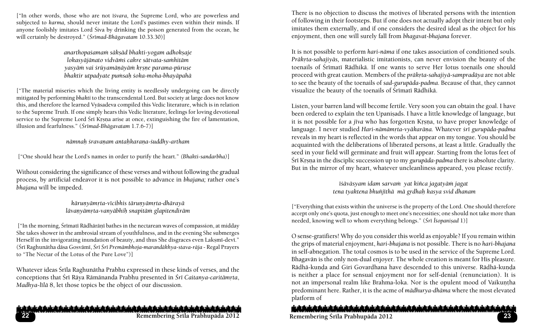["In other words, those who are not *éçvara*, the Supreme Lord, who are powerless and subjected to *karma,* should never imitate the Lord's pastimes even within their minds. If anyone foolishly imitates Lord Śiva by drinking the poison generated from the ocean, he will certainly be destroyed." (*Çrémad-Bhägavatam* 10.33.30)]

> *anarthopaçamaà säkñäd bhakti-yogam adhokñaje lokasyäjänato vidväàç cakre sätvata-saàhitäm yasyäà vai çrüyamäëäyäà kåñëe parama-püruñe bhaktir utpadyate pumsah śoka-moha-bhayāpahā*

["The material miseries which the living entity is needlessly undergoing can be directly mitigated by performing *bhakti* to the transcendental Lord. But society at large does not know this, and therefore the learned Vyäsadeva compiled this Vedic literature, which is in relation to the Supreme Truth. If one simply hears this Vedic literature, feelings for loving devotional service to the Supreme Lord Śrī Krsna arise at once, extinguishing the fire of lamentation, illusion and fearfulness." (*Çrémad-Bhägavatam* 1.7.6-7)]

*nämnaù çravaëam antaùkaraëa-çuddhy-artham*

["One should hear the Lord's names in order to purify the heart." *(Bhakti-sandarbha)*]

Without considering the significance of these verses and without following the gradual process, by artificial endeavor it is not possible to advance in *bhajana;* rather one's *bhajana* will be impeded.

> *kārunyāmrta-vīcibhis tārunyāmrta-dhārayā lāvanyāmrta-vanyābhih snapitām glapitendirām*

["In the morning, Śrīmatī Rādhārānī bathes in the nectarean waves of compassion, at midday She takes shower in the ambrosial stream of youthfulness, and in the evening She submerges Herself in the invigorating inundation of beauty, and thus She disgraces even Laksmī-devī." (Śrī Raghunātha dāsa Gosvāmī, Śrī Śrī Premāmbhoja-marandākhya-stava-rāja - Regal Prayers to "The Nectar of the Lotus of the Pure Love")]

Whatever ideas Śrīla Raghunātha Prabhu expressed in these kinds of verses, and the conceptions that Śrī Rāya Rāmānanda Prabhu presented in Śrī Caitanya-caritāmrta, *Madhya-līlā* 8, let those topics be the object of our discussion.

There is no objection to discuss the motives of liberated persons with the intention of following in their footsteps. But if one does not actually adopt their intent but only imitates them externally, and if one considers the desired ideal as the object for his enjoyment, then one will surely fall from *bhagavat-bhajana* forever.

It is not possible to perform *hari-näma* if one takes association of conditioned souls. *Prākrta-sahajiyās, materialistic imitationists, can never envision the beauty of the* toenails of Śrīmatī Rādhikā. If one wants to serve Her lotus toenails one should proceed with great caution. Members of the *prākrta-sahajiyā-sampradāya* are not able to see the beauty of the toenails of *sad-gurupäda-padma.* Because of that, they cannot visualize the beauty of the toenails of Śrīmatī Rādhikā.

Listen, your barren land will become fertile. Very soon you can obtain the goal. I have been ordered to explain the ten Upaniṣads. I have a little knowledge of language, but it is not possible for a *jīva* who has forgotten Krsna, to have proper knowledge of language. I never studied *Hari-nāmāmrta-vyākarāna*. Whatever *śrī gurupāda-padma* reveals in my heart is reflected in the words that appear on my tongue. You should be acquainted with the deliberations of liberated persons, at least a little. Gradually the seed in your field will germinate and fruit will appear. Starting from the lotus feet of Śrī Krsna in the disciplic succession up to my *gurupāda-padma* there is absolute clarity. But in the mirror of my heart, whatever uncleanliness appeared, you please rectify.

> *éçäväsyam idam sarvaà yat kiïca jagatyäà jagat tena tyaktena bhuïjéthä mä gådhaù kasya svid dhanam*

["Everything that exists within the universe is the property of the Lord. One should therefore accept only one's quota, just enough to meet one's necessities; one should not take more than needed, knowing well to whom everything belongs." (*Śrī Īśopaniṣad 1*)]

O sense-gratifiers! Why do you consider this world as enjoyable? If you remain within the grips of material enjoyment, *hari-bhajana* is not possible. There is no *hari-bhajana* in self-abnegation. The total cosmos is to be used in the service of the Supreme Lord. Bhagavän is the only non-dual enjoyer. The whole creation is meant for His pleasure. Rādhā-kunda and Giri Govardhana have descended to this universe. Rādhā-kunda is neither a place for sensual enjoyment nor for self-denial (renunciation). It is not an impersonal realm like Brahma-loka. Nor is the opulent mood of Vaikuntha predominant here. Rather, it is the acme of *mädhurya-dhäma* where the most elevated platform of

## شماء باز والماديان والمباديان والمباديان والموالدي المباديات والمباديان والمباديان والمباديان والمباديان والمباديان والمباديان والمبا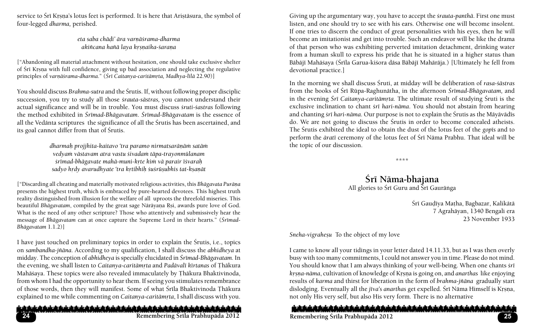service to Śrī Krsna's lotus feet is performed. It is here that Aristāsura, the symbol of four-legged *dharma,* perished.

> eta saba chādi' āra varnā*šrama-dharma akiïcana haïä laya kåñëaika-çaraëa*

["Abandoning all material attachment without hesitation, one should take exclusive shelter of Śrī Krsņa with full confidence, giving up bad association and neglecting the regulative principles of varnāśrama-dharma." (Śrī Caitanya-caritāmrta, Madhya-līlā 22.90)]

You should discuss *Brahma-sutra* and the Çrutis. If, without following proper disciplic succession, you try to study all those *çrauta-sästras,* you cannot understand their actual significance and will be in trouble. You must discuss *çruti-çastras* following the method exhibited in *Çrémad-Bhägavatam*. *Çrémad-Bhägavatam* is the essence of all the Vedānta scriptures the significance of all the Śrutis has been ascertained, and its goal cannot differ from that of Śrutis.

> dharmah projjhita-kaitavo 'tra paramo nirmatsarāņām satām *vedyaà västavam atra vastu çivadaà täpa-trayonmülanam çrémad-bhägavate mahä-muni-kåte kià vä parair éçvaraù* sadyo hrdy avarudhyate 'tra krtibhih *śuśrūsubhis tat-ksanāt*

["Discarding all cheating and materially motivated religious activities, this *Bhāgavata Purāņa* presents the highest truth, which is embraced by pure-hearted devotees. This highest truth reality distinguished from illusion for the welfare of all uproots the threefold miseries. This beautiful *Bhāgavatam*, compiled by the great sage Nārāyana Rsi, awards pure love of God. What is the need of any other scripture? Those who attentively and submissively hear the message of *Bhägavatam* can at once capture the Supreme Lord in their hearts." (*Çrémad-Bhägavatam* 1.1.2)]

I have just touched on preliminary topics in order to explain the Śrutis, i.e., topics on *sambandha-jïäna.* According to my qualification, I shall discuss the *abhidheya* at midday. The conception of *abhidheya* is specially elucidated in *Śrīmad-Bhāgavatam*. In the evening, we shall listen to *Caitanya-caritāmrta* and *Padāvalī kīrtanas* of Thākura Mahāśaya. These topics were also revealed immaculately by Thākura Bhaktivinoda, from whom I had the opportunity to hear them. If seeing you stimulates remembrance of those words, then they will manifest. Some of what Śrīla Bhaktivinoda Thākura explained to me while commenting on *Caitanya-caritāmṛta*, I shall discuss with you.

والمرابع بالمواجز والمواجزات بالمباحرات بالمواجز والمواجز والمواجز والمواجزات بالمواجز والمواجز والمواجز والمواجزات بالمواجز

**24**

Giving up the argumentary way, you have to accept the *çrauta-panthä*. First one must listen, and one should try to see with his ears. Otherwise one will become insolent. If one tries to discern the conduct of great personalities with his eyes, then he will become an imitationist and get into trouble. Such an endeavor will be like the drama of that person who was exhibiting perverted imitation detachment, drinking water from a human skull to express his pride that he is situated in a higher status than Bābājī Mahāśaya (Śrīla Garua-kiśora dāsa Bābājī Mahārāja.) [Ultimately he fell from devotional practice.]

In the morning we shall discuss Çruti, at midday will be deliberation of *rasa-çästras*  from the books of Śrī Rūpa-Raghunātha, in the afternoon *Śrīmad-Bhāgavatam*, and in the evening *Śrī Caitanya-caritāmrta*. The ultimate result of studying Śruti is the exclusive inclination to chant *çré hari-näma*. You should not abstain from hearing and chanting *śrī hari-nāma*. Our purpose is not to explain the Śrutis as the Māyāvādīs do. We are not going to discuss the Srutis in order to become concealed atheists. The Çrutis exhibited the ideal to obtain the dust of the lotus feet of the *gopés* and to perform the *äraté* ceremony of the lotus feet of Çré Näma Prabhu. That ideal will be the topic of our discussion.

\*\*\*\*

Śrī Nāma-bhajana All glories to Śrī Guru and Śrī Gaurānga

> Śrī Gaudīya Matha, Bagbazar, Kalikātā 7 Agrahäyan, 1340 Bengali era 23 November 1933

*Sneha-vigraheñu* To the object of my love

I came to know all your tidings in your letter dated 14.11.33, but as I was then overly busy with too many commitments, I could not answer you in time. Please do not mind. You should know that I am always thinking of your well-being. When one chants *śrī krsna-nāma*, cultivation of knowledge of Krsna is going on, and *anarthas* like enjoying results of *karma* and thirst for liberation in the form of *brahma-jïäna* gradually start dislodging. Eventually all the *jīva's anarthas* get expelled. Śrī Nāma Himself is Krsna, not only His very self, but also His very form*.* There is no alternative

المناوش عاديان بالمباديان بالمباديان بالمباديان والمناسبان بالمباديان بالمباديان بالمباديان بالمبادران بالمبادران بالمبادرة والمبادر **Remembering Çréla Prabhupäda 2012 25 Remembering Çréla Prabhupäda 2012**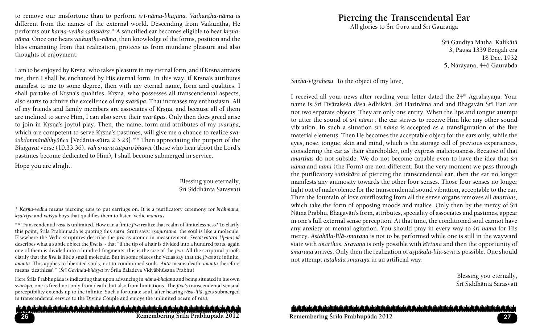to remove our misfortune than to perform  $\frac{\epsilon}{\epsilon}$ *nāma-bhajana. Vaikuntha-nāma* is different from the names of the external world. Descending from Vaikuntha, He performs our *karna-vedha samskāra*.\* A sanctified ear becomes eligible to hear *krsnanāma*. Once one hears *vaikuntha-nāma*, then knowledge of the forms, position and the bliss emanating from that realization, protects us from mundane pleasure and also thoughts of enjoyment.

I am to be enjoyed by Krsna, who takes pleasure in my eternal form, and if Krsna attracts me, then I shall be enchanted by His eternal form. In this way, if Krsna's attributes manifest to me to some degree, then with my eternal name, form and qualities, I shall partake of Krsna's qualities. Krsna, who possesses all transcendental aspects, also starts to admire the excellence of my *svarüpa*. That increases my enthusiasm. All of my friends and family members are associates of Krsna, and because all of them are inclined to serve Him, I can also serve their *svarüpas*. Only then does greed arise to join in Krsna's joyful play. Then, the name, form and attributes of my *svarūpa*, which are competent to serve Krsna's pastimes, will give me a chance to realize *svaçabdonmänäbhyäïca* [Vedänta-sütra 2.3.23].*\*\** Then appreciating the purport of the *Bhägavat* verse (10.33.36), *yäh çrutvä tatparo bhavet* (those who hear about the Lord's pastimes become dedicated to Him)*,* I shall become submerged in service.

Hope you are alright.

Blessing you eternally, Śrī Siddhānta Sarasvatī

*\* Karëa-vedha* means piercing ears to put earrings on. It is a purificatory ceremony for *brähmaëa, kñatriya* and *vaiçya* boys that qualifies them to listen Vedic *mantras.*

\*\* Transcendental *rasa* is unlimited. How can a finite *jéva* realize that realm of limitelessness? To clarify this point, Śrīla Prabhupāda is quoting this *sūtra*. Śruti says: *esonurātmā* the soul is like a molecule. Elsewhere the Vedic scriptures describe the *jīva* as atomic in measurement. *Śvetāśvatara Upanisad* describes what a subtle object the *jéva* is - that "if the tip of a hair is divided into a hundred parts, again one of them is divided into a hundred fragments, this is the size of the *j*īva. All the scriptural proofs clarify that the *jéva* is like a small molecule. But in some places the Vedas say that the *jévas* are infinite, *ananta*. This applies to liberated souls, not to conditioned souls. *Anta* means death; *ananta* therefore means 'deathless'." (*Çré Govinda-bhäñya* by Çréla Baladeva Vidyäbhüñaëa Prabhu)

Here Çréla Prabhupäda is indicating that upon advancing in *näma-bhajana* and being situated in his own *svarüpa,* one is freed not only from death, but also from limitations. The *jéva's* transcendental sensual perceptibility extends up to the infinite. Such a fortunate soul, after hearing *räsa-lélä,* gets submerged in transcendental service to the Divine Couple and enjoys the unlimited ocean of *rasa.* 

#### والمرادي المادوان بالمادوان بالمادوان بالمادوان بالموادوان والمادوان بالمعاديان بالمعاديان بالمعاديان بالمعاديان والمعادوان بالمعاديان **26**

# **Piercing the Transcendental Ear**

All glories to Śrī Guru and Śrī Gaurānga

Śrī Gaudīya Matha, Kalikātā 3, Paușa 1339 Bengali era 18 Dec. 1932 5, Nārāyana, 446 Gaurābda

*Sneha-vigraheñu* To the object of my love,

I received all your news after reading your letter dated the 24<sup>th</sup> Agrahāyana. Your name is Śrī Dvārakeśa dāsa Adhikārī. Śrī Harināma and and Bhagavān Śrī Hari are not two separate objects They are only one entity. When the lips and tongue attempt to utter the sound of *çré näma* , the ear strives to receive Him like any other sound vibration. In such a situation *çré näma* is accepted as a transfiguration of the five material elements. Then He becomes the acceptable object for the ears only, while the eyes, nose, tongue, skin and mind, which is the storage cell of previous experiences, considering the ear as their shareholder, only express maliciousness. Because of that *anarthas* do not subside. We do not become capable even to have the idea that *çré näma* and *nämé* (the Form) are non-different. But the very moment we pass through the purificatory *samskāra* of piercing the transcendental ear, then the ear no longer manifests any animosity towards the other four senses. Those four senses no longer fight out of malevolence for the transcendental sound vibration, acceptable to the ear. Then the fountain of love overflowing from all the sense organs removes all *anarthas,* which take the form of opposing moods and malice. Only then by the mercy of Sri Näma Prabhu, Bhagavän's form, attributes, speciality of associates and pastimes, appear in one's full external sense perception. At that time, the conditioned soul cannot have any anxiety or mental agitation. You should pray in every way to *śrī nāma* for His mercy. Aștakāla-līlā-smaraņa is not to be performed while one is still in the wayward state with *anarthas. Çravaëa* is only possible with *kértana* and then the opportunity of *smarana* arrives. Only then the realization of *astakāla-līlā-sevā* is possible. One should not attempt *astakāla smaraņa* in an artificial way.

> Blessing you eternally, Śrī Siddhānta Sarasvatī

وياور المباديان بالمباديان بالمباديان بالمباديان بالمباديان بالمباديان بالمباديان بالمباديان بالمبادران بالمبادرات بالمبادرة والمناديان بالماديان

**Remembering Çréla Prabhupäda 2012 27 Remembering Çréla Prabhupäda 2012**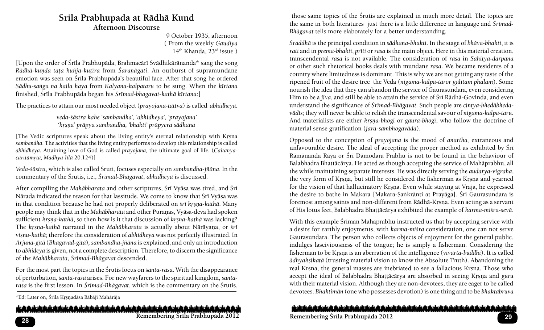## **Srila Prabhupada at Rädhä Kund Afternoon Discourse**

9 October 1935, afternoon ( From the weekly *Gauòéya*  $14<sup>th</sup>$  Khanda,  $23<sup>rd</sup>$  issue )

[Upon the order of Śrīla Prabhupāda, Brahmacārī Svādhikārānanda\* sang the song *Rādhā-kunda taṭa kuñja-kuṭīra from Śaraṇāgati*. An outburst of supramundane emotion was seen on Śrīla Prabhupāda's beautiful face. After that song he ordered *Sädhu-saìga na haila haya* from *Kalyana-kalpataru* to be sung. When the *kértana* finished, Śrīla Prabhupāda began his *Śrīmad-bhagavat-kathā kīrtana*:]

The practices to attain our most needed object (*prayojana-tattva*) is called *abhidheya*.

*veda-çästra kahe 'sambandha', 'abhidheya', 'prayojana' 'kåñëa' präpya sambandha, 'bhakti' präpyera sädhana*

[The Vedic scriptures speak about the living entity's eternal relationship with Krsna *sambandha*. The activities that the living entity performs to develop this relationship is called *abhidheya*. Attaining love of God is called *prayojana,* the ultimate goal of life. (*Caitanyacaritāmrta, Madhya-līlā* 20.124)]

*Veda-çästra*, which is also called Çruti, focuses especially on *sambandha-jïäna*. In the commentary of the Çrutis, i.e., *Çrémad-Bhägavat*, *abhidheya* is discussed.

After compiling the *Mahābharata* and other scriptures, Śrī Vyāsa was tired, and Śrī Nārada indicated the reason for that lassitude. We come to know that Śrī Vyāsa was in that condition because he had not properly deliberated on *śrī krsna-kathā*. Many people may think that in the *Mahābharata* and other Puranas, Vyāsa-deva had spoken sufficient *kysna-kathā*, so then how is it that discussion of *kysna-kathā* was lacking? The *krsna-kathā* narrated in the *Mahābharata* is actually about Nārāyana, or *śrī visnu-kathā*; therefore the consideration of *abhidheya* was not perfectly illustrated. In *Arjuna-gétä* (*Bhagavad-gétä*)*, sambandha-jïäna* is explained, and only an introduction to *abhideya* is given, not a complete description. Therefore, to discern the significance of the *Mahäbharata*, *Çrémad-Bhägavat* descended.

For the most part the topics in the Çrutis focus on ç*anta-rasa*. With the disappearance of perturbation, ç*anta-rasa* arises. For new wayfarers to the spiritual kingdom, *santarasa* is the first lesson. In *Śrīmad-Bhāgavat*, which is the commentary on the Śrutis,

\*Ed: Later on, Śrīla Krsnadāsa Bābājī Mahārāja

المشرش والمتابع شماميش بالموامين بالمواميش بالمواميش بالموامين الموامين بالمواميان بالموامين بالموامين بالموامين بالموامين بالموامين

 those same topics of the Çrutis are explained in much more detail. The topics are the same in both literatures just there is a little difference in language and *Śrīmad-Bhägavat* tells more elaborately for a better understanding.

*Çraddhä* is the principal condition in *sädhana-bhakti*. In the stage of *bhäva-bhakti*, it is *rati* and in *prema-bhakti*, *prīti* or *rasa* is the main object. Here in this material creation, transcendental *rasa* is not available. The consideration of *rasa* in *Sahitya-darpana* or other such rhetorical books deals with mundane *rasa*. We became residents of a country where limitedness is dominant. This is why we are not getting any taste of the ripened fruit of the desire tree the Veda (*nigama-kalpa-taror galitam phalam*). Some nourish the idea that they can abandon the service of Gaurasundara, even considering Him to be a *jīva*, and still be able to attain the service of Śrī Rādhā-Govinda, and even understand the significance of *Çrémad-Bhägavat.* Such people are *cintya-bhedäbhedavädés;* they will never be able to relish the transcendental savour of *nigama-kalpa-taru*. And materialists are either *krsna-bhogī* or *gaura-bhogī*, who follow the doctrine of material sense gratification (*jara-sambhogaväda*).

Opposed to the conception of *prayojana* is the mood of *anartha,* extraneous and unfavourable desire. The ideal of accepting the proper method as exhibited by Sri Rāmānanda Rāya or Śrī Dāmodara Prabhu is not to be found in the behaviour of Balabhadra Bhattācārya. He acted as though accepting the service of Mahāprabhu, all the while maintaining separate interests. He was directly serving the *audarya-vigraha*, the very form of Krsna, but still he considered the fisherman as Krsna and yearned for the vision of that hallucinatory Krsna. Even while staying at Vraja, he expressed the desire to bathe in Makara [Makara-Saṅkrānti at Prayāga]. Śrī Gaurasundara is foremost among saints and non-different from Rādhā-Krsna. Even acting as a servant of His lotus feet, Balabhadra Bhattācārya exhibited the example of *karma-miśra-sevā*.

With this example Śrīman Mahaprabhu instructed us that by accepting service with a desire for earthly enjoyments, with *karma-miçra* consideration, one can not serve Gaurasundara. The person who collects objects of enjoyment for the general public, indulges lasciviousness of the tongue; he is simply a fisherman. Considering the fisherman to be Krsna is an aberration of the intelligence (*vivarta-buddhi*). It is called  $\bar{a}$ dhyaksikatā (trusting material vision to know the Absolute Truth). Abandoning the real Krsna, the general masses are inebriated to see a fallacious Krsna. Those who accept the ideal of Balabhadra Bhaṭṭācārya are absorbed in seeing Kṛṣṇa and *guru* with their material vision. Although they are non-devotees, they are eager to be called devotees. *Bhaktimän* (one who possesses devotion) is one thing and to be *bhaktabruva* 

#### وياور المباديان بالمباديان بالمباديان بالمباديان بالمباديان والمزاديان والمبادران بالمبادران بالمبادرات بالمبادرات بالمبادرات والمبادرات

**Remembering Çréla Prabhupäda 2012 29 33 Remembering Çréla Prabhupäda 2012**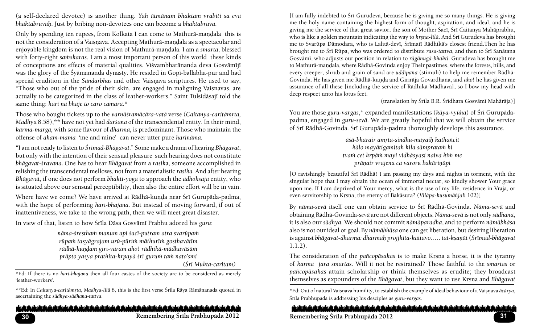(a self-declared devotee) is another thing. *Yah ätmänam bhaktam vrabiti sa eva bhaktabruvaù*. Just by bribing non-devotees one can become a *bhaktabruva*.

Only by spending ten rupees, from Kolkata I can come to Mathurā-mandala this is not the consideration of a Vaisnava. Accepting Mathurā-mandala as a spectacular and enjoyable kingdom is not the real vision of Mathurā-mandala. I am a *smarta*, blessed with forty-eight *samskaras*, I am a most important person of this world these kinds of conceptions are effects of material qualities. Visvambharānanda deva Gosvāmījī was the glory of the Śyāmananda dynasty. He resided in Gopī-ballabha-pur and had special erudition in the *Sandarbhas* and other Vaisnava scriptures. He used to say, "Those who out of the pride of their skin, are engaged in maligning Vaisnavas, are actually to be categorized in the class of leather-workers." Saint Tulsidāsajī told the same thing: *hari na bhaje to caro camara*.\*

Those who bought tickets up to the *varnāśramācāra-vatā verse (Caitanya-caritāmrta*, *Madhya* 8.58),\*\* have not yet had *darçana* of the transcendental entity. In their mind, *karma-marga,* with some flavour of *dharma,* is predominant. Those who maintain the offense of *aham-mama* 'me and mine' can never utter pure *harinäma.*

"I am not ready to listen to *Çrémad-Bhägavat*." Some make a drama of hearing *Bhägavat*, but only with the intention of their sensual pleasure such hearing does not constitute *bhägavat*-*çravana*. One has to hear *Bhägavat* from a *rasik*a, someone accomplished in relishing the transcendental mellows, not from a materialistic *rasika.* And after hearing *Bhägavat,* if one does not perform *bhakti-yoga* to approach the *adhoksaja* entity, who is situated above our sensual perceptibility, then also the entire effort will be in vain.

Where have we come? We have arrived at Rādhā-kuṇḍa near Śrī Gurupāda-padma, with the hope of performing *hari-bhajana*. But instead of moving forward, if out of inattentiveness, we take to the wrong path, then we will meet great disaster.

In view of that, listen to how Śrīla Dāsa Gosvāmī Prabhu adored his *guru*:

*näma-çreñthaà manum api çacé-putram atra svarüpaà rüpaà tasyägrajam urü-pürià mäthuréà goñthaväöém* rādhā-kundam giri-varam aho! rādhikā-mādhavāśām *präpto yasya prathita-kåpayä çré guruà taà nato'smi* 

 *(Çré Mukta-caritam)*

\*Ed: If there is no *hari-bhajana* then all four castes of the society are to be considered as merely 'leather-workers'.

\*\*Ed: In *Caitanya-caritāmrta*, *Madhya-līlā* 8, this is the first verse Śrīla Rāya Rāmānanada quoted in ascertaining the *sädhya-sädhana-tattva*.

أمراء بالمامياء بالمامياء بالماميان بالماميان بالماميان بالماميان بالماميان بالماميان بالماميان بالماميان بالماميان بالماميان بالماميان

[I am fully indebted to Çré Gurudeva, because he is giving me so many things. He is giving me the holy name containing the highest form of thought, aspiration, and ideal, and he is giving me the service of that great savior, the son of Mother Śacī, Śrī Caitanya Mahāprabhu, who is like a golden mountain indicating the way to *krsna-lila*. And Śrī Gurudeva has brought me to Svarūpa Dāmodara, who is Lalitā-devī, Śrīmatī Rādhikā's closest friend.Then he has brought me to Çré Rüpa, who was ordered to distribute *rasa-tattva*, and then to Çré Sanätana Gosvämé, who adjusts our position in relation to *rägänugä-bhakti.* Gurudeva has brought me to Mathurā-mandala, where Rādhā-Govinda enjoy Their pastimes, where the forests, hills, and every creeper, shrub and grain of sand are *uddépana* (stimuli) to help me remember Rädhä-Govinda. He has given me Rādhā-kunda and Girirāja Govardhana, and *aho*! he has given me assurance of all these [including the service of Rädhikä-Mädhava], so I bow my head with deep respect unto his lotus feet.

(translation by Śrīla B.R. Śrīdhara Gosvāmī Mahārāja)]

You are those *guru-vargas*,\* expanded manifestations (*kāya-vyūha*) of Śrī Gurupādapadma, engaged in *guru-sevä*. We are greatly hopeful that we will obtain the service of Śrī Rādhā-Govinda. Śrī Gurupāda-padma thoroughly develops this assurance.

> *äçä-bharair amåta-sindhu-mayaiù kathaïcit kälo mayätigamitaù kila sämprataà hi tvaà cet kåpäà mayi vidhäsyasi naiva kià me präëair vrajena ca varoru bakäriëäpi*

[O ravishingly beautiful Śrī Rādhā! I am passing my days and nights in torment, with the singular hope that I may obtain the ocean of immortal nectar, so kindly shower Your grace upon me. If I am deprived of Your mercy, what is the use of my life, residence in Vraja, or even servitorship to Krsna, the enemy of Bakāsura? (*Vilāpa-kusumāñjali* 102)]

By *näma-sevä* itself one can obtain service to Çré Rädhä-Govinda. *Näma-sevä* and obtaining Rädhä-Govinda-*sevä* are not different objects. *Näma-sevä* is not only *sädhana*, it is also our *sädhya*. We should not commit *nämäparadha*, and to perform *nämäbhäsa* also is not our ideal or goal. By *nämäbhäsa* one can get liberation, but desiring liberation is against *bhägavat-dharma: dharmaù projjhita-kaitavo*.…. *tat-kñaëät* (*Çrémad-bhägavat* 1.1.2).

The consideration of the *pañcopāsakas* is to make Krsna a horse, it is the tyranny of *karma jara smartas*. Will it not be restrained? Those faithful to the *smartas* or *païcopäsakas* attain scholarship or think themselves as erudite; they broadcast themselves as expounders of the *Bhāgavat*, but they want to use Krsna and *Bhāgavat* 

\*Ed: Out of natural Vaiñëava humility, to establish the example of ideal behaviour of a Vaiñëava *äcärya*, Çréla Prabhupäda is addressing his desciples as *guru-vargas*.

والرياد واحتلج بالمناديان بالمباحية والمباحث والمباحث والمباحث والمباحثة والمباحثة والمباحث والمباحث بالمباحث المتوران والمتحلة **Remembering Çréla Prabhupäda 2012 3135 Remembering Çréla Prabhupäda 2012**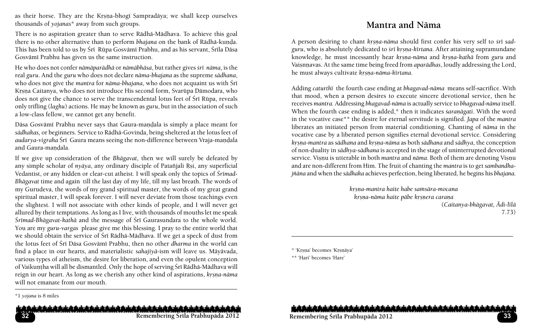as their horse. They are the Krsna-bhogi Sampradäya; we shall keep ourselves thousands of *yojanas*\* away from such groups.

There is no aspiration greater than to serve Rädhä-Mädhava. To achieve this goal there is no other alternative than to perform *bhajana* on the bank of Rādhā-kunda. This has been told to us by Śrī Rūpa Gosvāmī Prabhu, and as his servant, Śrīla Dāsa Gosvämé Prabhu has given us the same instruction.

He who does not confer *nämäparädhä* or *nämäbhäsa*, but rather gives *çré näma,* is the real *guru*. And the *guru* who does not declare *näma-bhajana* as the supreme *sädhana*, who does not give the *mantra* for *nāma-bhajana*, who does not acquaint us with Śrī Krsna Caitanya, who does not introduce His second form, Svarūpa Dāmodara, who does not give the chance to serve the transcendental lotus feet of Śrī Rūpa, reveals only trifling (*laghu*) actions. He may be known as *guru*, but in the association of such a low-class fellow, we cannot get any benefit.

Dāsa Gosvāmī Prabhu never says that Gaura-mandala is simply a place meant for *sädhakas,* or beginners. Service to Rädhä-Govinda, being sheltered at the lotus feet of *audarya-vigraha* Śrī Gaura means seeing the non-difference between Vraja-mandala and Gaura-mandala.

If we give up consideration of the *Bhägavat*, then we will surely be defeated by any simple scholar of *nyāya*, any ordinary disciple of Patañjali Rsi, any superficial Vedantist, or any hidden or clear-cut atheist. I will speak only the topics of *Śrīmad-Bhägavat* time and again till the last day of my life, till my last breath. The words of my Gurudeva, the words of my grand spiritual master, the words of my great grand spiritual master, I will speak forever. I will never deviate from those teachings even the slightest. I will not associate with other kinds of people, and I will never get allured by their temptations. As long as I live, with thousands of mouths let me speak *Çrémad*-*Bhägavat-kathä* and the message of Çré Gaurasundara to the whole world. You are my *guru-vargas* please give me this blessing. I pray to the entire world that we should obtain the service of Śrī Rādhā-Mādhava. If we get a speck of dust from the lotus feet of Śrī Dāsa Gosvāmī Prabhu, then no other *dharma* in the world can find a place in our hearts, and materialistic *sahajiyä*-ism will leave us. Mäyävada, various types of atheism, the desire for liberation, and even the opulent conception of Vaikuntha will all be dismantled. Only the hope of serving Śrī Rādhā-Mādhava will reign in our heart. As long as we cherish any other kind of aspirations, *krsna-nāma* will not emanate from our mouth.

# **Mantra and Näma**

A person desiring to chant *krsna-nāma* should first confer his very self to *srī sadguru*, who is absolutely dedicated to *çré kåñëa-kértana*. After attaining supramundane knowledge, he must incessantly hear *krsna-nāma* and *krsna-kathā* from guru and Vaisnnavas. At the same time being freed from *aparādhas*, loudly addressing the Lord, he must always cultivate *kr*sna-nāma-kīrtana.

Adding *caturthé* the fourth case ending at *bhagavad-näma* means self-sacrifice. With that mood, when a person desires to execute sincere devotional service, then he receives *mantra*. Addressing *bhagavad-näma* is actually service to *bhagavad-näma* itself. When the fourth case ending is added,\* then it indicates *saranāgati*. With the word in the vocative case\*\* the desire for eternal servitude is signified. *Japa* of the *mantra* liberates an initiated person from material conditioning. Chanting of *näma* in the vocative case by a liberated person signifies eternal devotional service. Considering *kåñëa-mantra* as *sädhana* and *kåñëa-näma* as both *sädhana* and *sädhya*, the conception of non-duality in *sädhya-sädhana* is accepted in the stage of uninterrupted devotional service. Visnu is utterable in both *mantra* and *nāma*. Both of them are denoting Visnu and are non-different from Him. The fruit of chanting the *mantra* is to get *sambandhajïäna* and when the *sädhaka* achieves perfection, being liberated, he begins his *bhajana*.

> *kåñëa-mantra haite habe saàsära-mocana krsna-näma haite päbe krsnera carana* (*Caitanya-bhägavat, Ädi-lélä*

\*\* 'Hari' becomes 'Hare'

ويشر والمباديش والمباديش والمباديش والمباحيش والمباديش والمباديش والمباديش والمباديش والمباديش والمباديش والمبادر والمبا

<sup>\*1</sup> *yojana* is 8 miles

<sup>7.73)</sup>

<sup>\* &#</sup>x27;Krsna' becomes 'Krsnāya'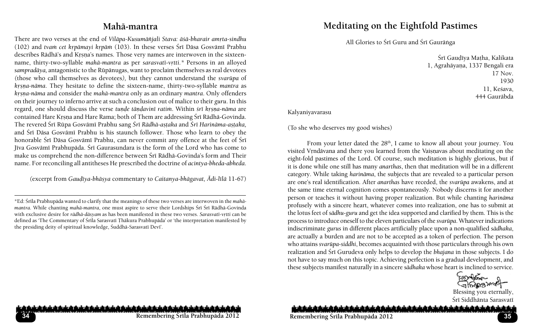# **Mahä-mantra**

There are two verses at the end of *Vilāpa-Kusumāñjali Stava: āśā-bharair amrta-sindhu* (102) and *tvam cet krpāmayi krpām* (103). In these verses Śrī Dāsa Gosvāmī Prabhu describes Rādhā's and Krsna's names. Those very names are interwoven in the sixteenname, thirty-two-syllable *mahā-mantra* as per sarasvatī-vrtti.\* Persons in an alloyed *sampradäya,* antagonistic to the Rüpänugas, want to proclaim themselves as real devotees *(*those who call themselves as devotees*),* but they cannot understand the *svarüpa* of *krsna-nāma*. They hesitate to define the sixteen-name, thirty-two-syllable *mantra* as *krsna-nāma* and consider the *mahā-mantra* only as an ordinary *mantra*. Only offenders on their journey to inferno arrive at such a conclusion out of malice to their *guru*. In this regard, one should discuss the verse *tunde tāndavinī ratim*. Within *śrī krsna-nāma* are contained Hare Krsna and Hare Rama; both of Them are addressing Śrī Rādhā-Govinda. The revered Çré Rüpa Gosvämé Prabhu sang *Çré Rädhä-añöaka* and *Çré Harinäma-añöaka,* and Śrī Dāsa Gosvāmī Prabhu is his staunch follower. Those who learn to obey the honorable Śrī Dāsa Gosvāmī Prabhu, can never commit any offence at the feet of Śrī Jīva Gosvāmī Prabhupāda. Šrī Gaurasundara is the form of the Lord who has come to make us comprehend the non-difference between Śrī Rādhā-Govinda's form and Their name. For reconciling all antitheses He prescribed the doctrine of *acintya-bheda-abheda*.

(excerpt from *Gaudīya-bhāṣya* commentary to *Caitanya-bhāgavat, Ādi-līlā* 11-67)

# **Meditating on the Eightfold Pastimes**

All Glories to Śrī Guru and Śrī Gaurānga

Śrī Gaudīya Matha, Kalikata 1, Agrahāyana, 1337 Bengali era 17 Nov. 1930 11, Keśava, 444 Gauräbda

Kalyaniyavarasu

(To she who deserves my good wishes)

From your letter dated the  $28<sup>th</sup>$ , I came to know all about your journey. You visited Vrndävana and there you learned from the Vaisnavas about meditating on the eight-fold pastimes of the Lord. Of course, such meditation is highly glorious, but if it is done while one still has many *anarthas*, then that meditation will be in a different category. While taking *harinäma*, the subjects that are revealed to a particular person are one's real identification. After *anarthas* have receded, the *svarüpa* awakens, and at the same time eternal cognition comes spontaneously. Nobody discerns it for another person or teaches it without having proper realization. But while chanting *harinäma* profusely with a sincere heart, whatever comes into realization, one has to submit at the lotus feet of *sädhu-guru* and get the idea supported and clarified by them. This is the process to introduce oneself to the eleven particulars of the *svarüpa*. Whatever indications indiscriminate *gurus* in different places artificially place upon a non-qualified *sädhaka*, are actually a burden and are not to be accepted as a token of perfection. The person who attains *svarüpa*-*siddhi*, becomes acquainted with those particulars through his own realization and Çré Gurudeva only helps to develop the *bhajana* in those subjects. I do not have to say much on this topic. Achieving perfection is a gradual development, and these subjects manifest naturally in a sincere *sädhaka* whose heart is inclined to service.

Blessing you eternally, Śrī Siddhānta Sarasvatī

#### شماء بشرشماء بشريش شماديش شماديش شماء يشر شماميش شماء يشر شماعيش شرعاء يشر بالميشر شرعاء يشرش بالميشر شرعاء يشرون

**Remembering Çréla Prabhupäda 2012 35**

**34**

<sup>\*</sup>Ed: Çréla Prabhupäda wanted to clarify that the meanings of these two verses are interwoven in the *mahämantra*. While chanting *mahā-mantra*, one must aspire to serve their Lordships Śrī Śrī Rādhā-Govinda with exclusive desire for *rādhā-dāsyam* as has been manifested in these two verses. *Sarasvatī-vrtti* can be defined as 'The Commentary of Śrīla Sarasvatī Thākura Prabhupāda' or 'the interpretation manifested by the presiding deity of spiritual knowledge, Śuddhā-Sarasvatī Devī'.